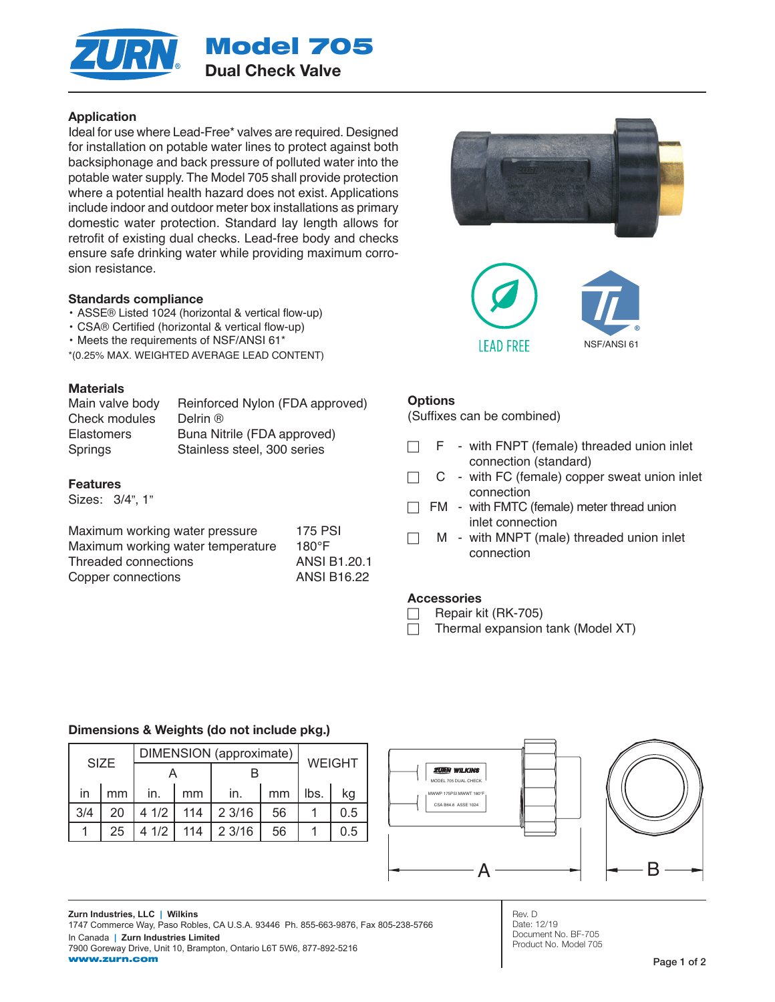

## Application

Ideal for use where Lead-Free\* valves are required. Designed for installation on potable water lines to protect against both backsiphonage and back pressure of polluted water into the potable water supply. The Model 705 shall provide protection where a potential health hazard does not exist. Applications include indoor and outdoor meter box installations as primary domestic water protection. Standard lay length allows for retrofit of existing dual checks. Lead-free body and checks ensure safe drinking water while providing maximum corrosion resistance.

#### Standards compliance

- ASSE® Listed 1024 (horizontal & vertical flow-up)
- CSA® Certified (horizontal & vertical flow-up)
- Meets the requirements of NSF/ANSI 61\*
- \*(0.25% MAX. WEIGHTED AVERAGE LEAD CONTENT)

#### **Materials**

| Reinforced Nylon (FDA approved) |
|---------------------------------|
| Delrin ®                        |
| Buna Nitrile (FDA approved)     |
| Stainless steel, 300 series     |
|                                 |

#### Features

Sizes: 3/4", 1"

| Maximum working water pressure    | <b>175 PSI</b>      |
|-----------------------------------|---------------------|
| Maximum working water temperature | $180^\circ F$       |
| Threaded connections              | <b>ANSI B1.20.1</b> |
| Copper connections                | <b>ANSI B16.22</b>  |





#### **Options**

(Suffixes can be combined)

- $\Box$  F with FNPT (female) threaded union inlet connection (standard)
- $\Box$  C with FC (female) copper sweat union inlet connection
- $\Box$  FM with FMTC (female) meter thread union inlet connection
	- M with MNPT (male) threaded union inlet connection

#### **Accessories**

- Repair kit (RK-705)
- $\Box$  Thermal expansion tank (Model XT)

#### Dimensions & Weights (do not include pkg.)

| DIMENSION (approximate)<br><b>SIZE</b> |    |      |     |        | <b>WEIGHT</b> |      |     |
|----------------------------------------|----|------|-----|--------|---------------|------|-----|
|                                        |    |      |     |        |               |      |     |
| in                                     | mm | in.  | mm  | in.    | mm            | lbs. | kg  |
| 3/4                                    | 20 | 41/2 | 114 | 2 3/16 | 56            |      | 0.5 |
|                                        | 25 | 41/2 | 114 | 2 3/16 | 56            |      | 0.5 |